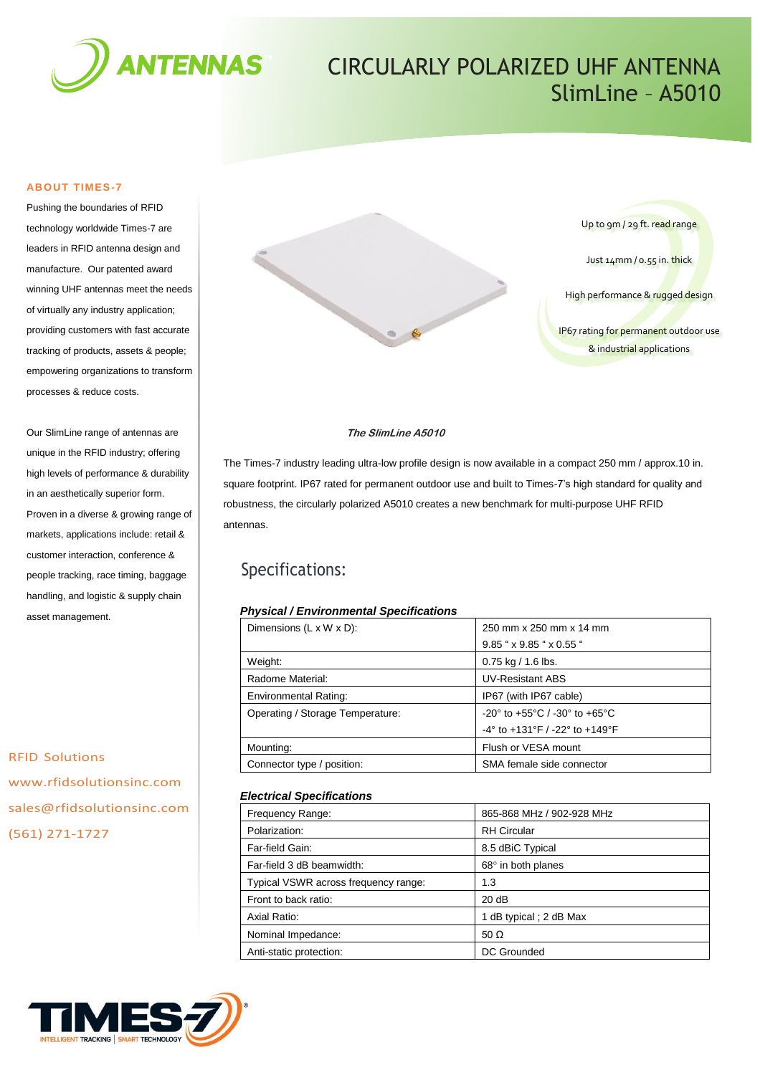

# CIRCULARLY POLARIZED UHF ANTENNA SlimLine – A5010

### **ABOUT TIMES-7**

Pushing the boundaries of RFID technology worldwide Times-7 are leaders in RFID antenna design and manufacture. Our patented award winning UHF antennas meet the needs of virtually any industry application; providing customers with fast accurate tracking of products, assets & people; empowering organizations to transform processes & reduce costs.

Our SlimLine range of antennas are unique in the RFID industry; offering high levels of performance & durability in an aesthetically superior form. Proven in a diverse & growing range of markets, applications include: retail & customer interaction, conference & people tracking, race timing, baggage handling, and logistic & supply chain asset management.

RFID Solutions www.rfidsolutionsinc.com sales@rfidsolutionsinc.com (561) 271-1727



### **The SlimLine A5010**

The Times-7 industry leading ultra-low profile design is now available in a compact 250 mm / approx.10 in. square footprint. IP67 rated for permanent outdoor use and built to Times-7's high standard for quality and robustness, the circularly polarized A5010 creates a new benchmark for multi-purpose UHF RFID antennas.

# Specifications:

# *Physical / Environmental Specifications*

| Dimensions $(L \times W \times D)$ : | 250 mm x 250 mm x 14 mm                                              |  |  |
|--------------------------------------|----------------------------------------------------------------------|--|--|
|                                      | 9.85 " x 9.85 " x 0.55 "                                             |  |  |
| Weight:                              | $0.75$ kg / 1.6 lbs.                                                 |  |  |
| Radome Material:                     | <b>UV-Resistant ABS</b>                                              |  |  |
| <b>Environmental Rating:</b>         | IP67 (with IP67 cable)                                               |  |  |
| Operating / Storage Temperature:     | $-20^{\circ}$ to $+55^{\circ}$ C / $-30^{\circ}$ to $+65^{\circ}$ C  |  |  |
|                                      | $-4^{\circ}$ to $+131^{\circ}$ F / $-22^{\circ}$ to $+149^{\circ}$ F |  |  |
| Mounting:                            | Flush or VESA mount                                                  |  |  |
| Connector type / position:           | SMA female side connector                                            |  |  |

## *Electrical Specifications*

| Frequency Range:                     | 865-868 MHz / 902-928 MHz |
|--------------------------------------|---------------------------|
| Polarization:                        | <b>RH</b> Circular        |
| Far-field Gain:                      | 8.5 dBiC Typical          |
| Far-field 3 dB beamwidth:            | $68^\circ$ in both planes |
| Typical VSWR across frequency range: | 1.3                       |
| Front to back ratio:                 | 20 dB                     |
| Axial Ratio:                         | 1 dB typical; 2 dB Max    |
| Nominal Impedance:                   | 50 $\Omega$               |
| Anti-static protection:              | DC Grounded               |